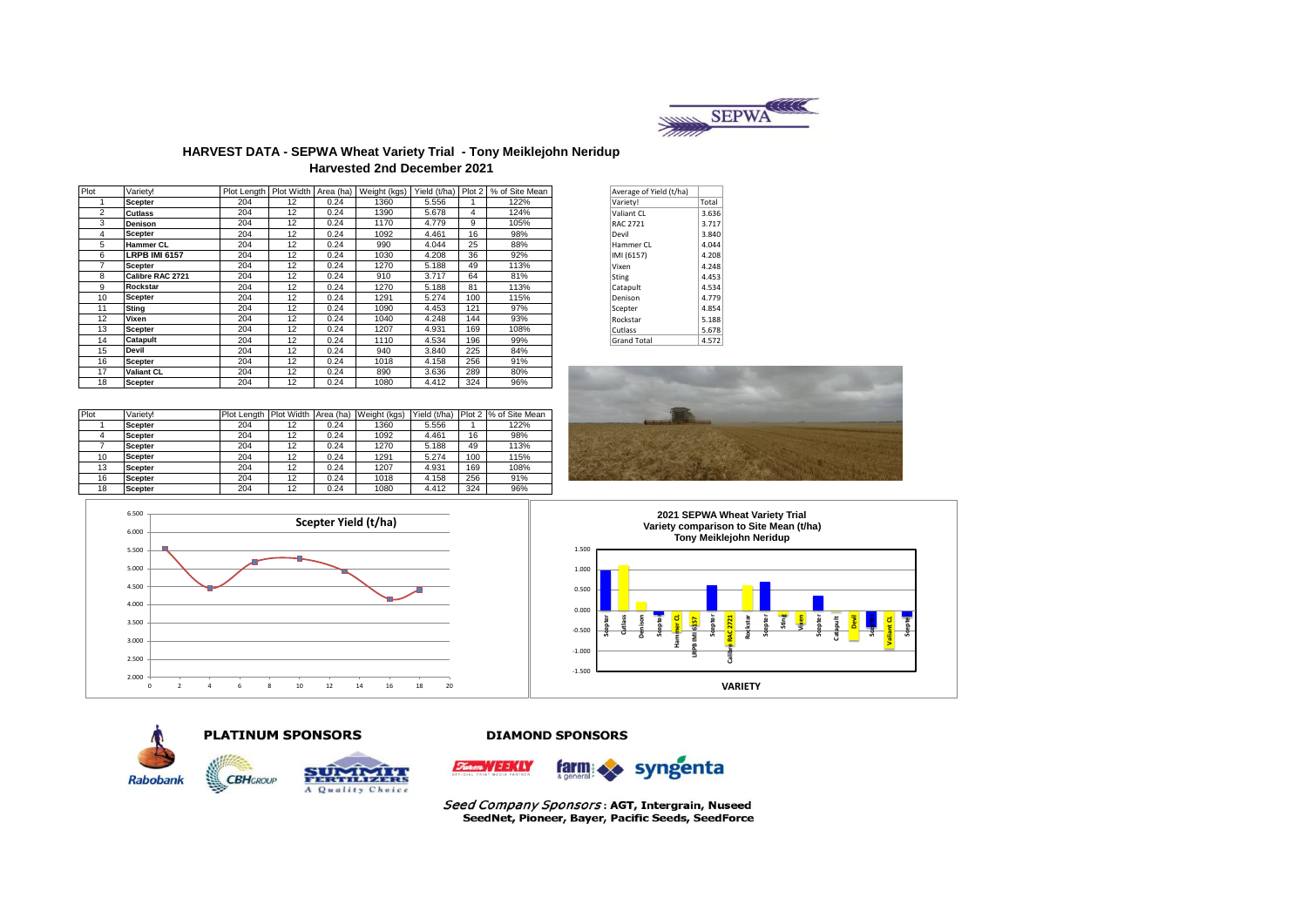

### **HARVEST DATA - SEPWA Wheat Variety Trial - Tony Meiklejohn Neridup Harvested 2nd December 2021**

| Plot           | Varietv!             |     |    |      | Plot Length Plot Width Area (ha) Weight (kgs) | Yield (t/ha) Plot 2 |     | % of Site Mean | Average of Yield (t/ha) |       |
|----------------|----------------------|-----|----|------|-----------------------------------------------|---------------------|-----|----------------|-------------------------|-------|
|                | <b>Scepter</b>       | 204 | 12 | 0.24 | 1360                                          | 5.556               |     | 122%           | Variety!                | Total |
| $\overline{2}$ | <b>Cutlass</b>       | 204 | 12 | 0.24 | 1390                                          | 5.678               | 4   | 124%           | Valiant CL              | 3.636 |
| 3              | <b>Denison</b>       | 204 | 12 | 0.24 | 1170                                          | 4.779               | 9   | 105%           | <b>RAC 2721</b>         | 3.717 |
| 4              | <b>Scepter</b>       | 204 | 12 | 0.24 | 1092                                          | 4.461               | 16  | 98%            | Devil                   | 3.840 |
| 5              | <b>Hammer CL</b>     | 204 | 12 | 0.24 | 990                                           | 4.044               | 25  | 88%            | Hammer CL               | 4.044 |
| 6              | <b>LRPB IMI 6157</b> | 204 | 12 | 0.24 | 1030                                          | 4.208               | 36  | 92%            | IMI (6157)              | 4.208 |
|                | <b>Scepter</b>       | 204 | 12 | 0.24 | 1270                                          | 5.188               | 49  | 113%           | Vixen                   | 4.248 |
| 8              | Calibre RAC 2721     | 204 | 12 | 0.24 | 910                                           | 3.717               | 64  | 81%            | <b>Sting</b>            | 4.453 |
| 9              | <b>Rockstar</b>      | 204 | 12 | 0.24 | 1270                                          | 5.188               | 81  | 113%           | Catapult                | 4.534 |
| 10             | <b>Scepter</b>       | 204 | 12 | 0.24 | 1291                                          | 5.274               | 100 | 115%           | Denison                 | 4.779 |
| 11             | <b>Sting</b>         | 204 | 12 | 0.24 | 1090                                          | 4.453               | 121 | 97%            | Scepter                 | 4.854 |
| 12             | Vixen                | 204 | 12 | 0.24 | 1040                                          | 4.248               | 144 | 93%            | Rockstar                | 5.188 |
| 13             | <b>Scepter</b>       | 204 | 12 | 0.24 | 1207                                          | 4.931               | 169 | 108%           | Cutlass                 | 5.678 |
| 14             | Catapult             | 204 | 12 | 0.24 | 1110                                          | 4.534               | 196 | 99%            | <b>Grand Total</b>      | 4.572 |
| 15             | <b>Devil</b>         | 204 | 12 | 0.24 | 940                                           | 3.840               | 225 | 84%            |                         |       |
| 16             | <b>Scepter</b>       | 204 | 12 | 0.24 | 1018                                          | 4.158               | 256 | 91%            |                         |       |
| 17             | <b>Valiant CL</b>    | 204 | 12 | 0.24 | 890                                           | 3.636               | 289 | 80%            |                         |       |
| 18             | Scepter              | 204 | 12 | 0.24 | 1080                                          | 4.412               | 324 | 96%            |                         |       |

| Average of Yield (t/ha) |       |
|-------------------------|-------|
| Variety!                | Total |
| Valiant CL              | 3.636 |
| RAC 2721                | 3.717 |
| Devil                   | 3.840 |
| Hammer CI               | 4.044 |
| IMI (6157)              | 4.208 |
| Vixen                   | 4.248 |
| Sting                   | 4.453 |
| Catapult                | 4.534 |
| Denison                 | 4.779 |
| Scepter                 | 4.854 |
| Rockstar                | 5.188 |
| Cutlass                 | 5.678 |
| <b>Grand Total</b>      | 4.572 |

| Plot | Varietv!       | Plot Lenath | Plot Width | Area (ha) | Weight (kgs) | Yield (t/ha) |     | Plot 2 % of Site Mean |
|------|----------------|-------------|------------|-----------|--------------|--------------|-----|-----------------------|
|      | <b>Scepter</b> | 204         | 12         | 0.24      | 1360         | 5.556        |     | 122%                  |
|      | <b>Scepter</b> | 204         | 12         | 0.24      | 1092         | 4.461        | 16  | 98%                   |
|      | <b>Scepter</b> | 204         | 12         | 0.24      | 1270         | 5.188        | 49  | 113%                  |
| 10   | <b>Scepter</b> | 204         | 12         | 0.24      | 1291         | 5.274        | 100 | 115%                  |
| 13   | <b>Scepter</b> | 204         | 12         | 0.24      | 1207         | 4.931        | 169 | 108%                  |
| 16   | <b>Scepter</b> | 204         | 12         | 0.24      | 1018         | 4.158        | 256 | 91%                   |
| 18   | <b>Scepter</b> | 204         | 12         | 0.24      | 1080         | 4.412        | 324 | 96%                   |







**DIAMOND SPONSORS** 



**PLATINUM SPONSORS** 



syngenta **farm** 

Seed Company Sponsors: AGT, Intergrain, Nuseed SeedNet, Pioneer, Bayer, Pacific Seeds, SeedForce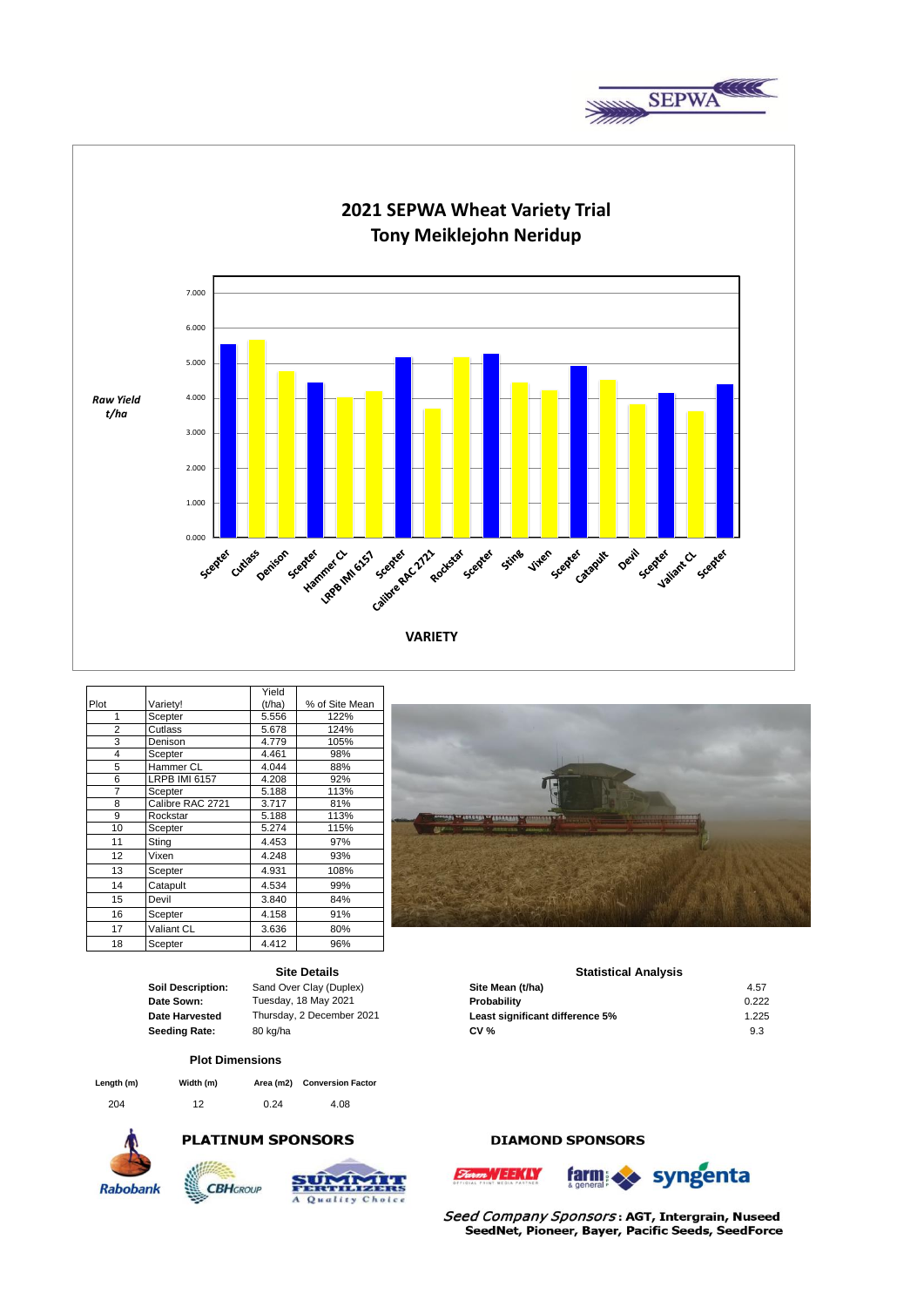



|                |                      | Yield  |                |
|----------------|----------------------|--------|----------------|
| Plot           | Variety!             | (t/ha) | % of Site Mean |
| 1              | Scepter              | 5.556  | 122%           |
| $\overline{c}$ | Cutlass              | 5.678  | 124%           |
| 3              | Denison              | 4.779  | 105%           |
| 4              | Scepter              | 4.461  | 98%            |
| 5              | Hammer CL            | 4.044  | 88%            |
| 6              | <b>LRPB IMI 6157</b> | 4.208  | 92%            |
| 7              | Scepter              | 5.188  | 113%           |
| 8              | Calibre RAC 2721     | 3.717  | 81%            |
| 9              | Rockstar             | 5.188  | 113%           |
| 10             | Scepter              | 5.274  | 115%           |
| 11             | Sting                | 4.453  | 97%            |
| 12             | Vixen                | 4.248  | 93%            |
| 13             | Scepter              | 4.931  | 108%           |
| 14             | Catapult             | 4.534  | 99%            |
| 15             | Devil                | 3.840  | 84%            |
| 16             | Scepter              | 4.158  | 91%            |
| 17             | Valiant CL           | 3.636  | 80%            |
| 18             | Scepter              | 4.412  | 96%            |



**Statistical Analysis** 

**Soil Description:** Sand Over Clay (Duplex) **Site Mean (t/ha)** 4.57 **Date Sown: Probability** 0.222 Tuesday, 18 May 2021

**Date Harvested** Thursday, 2 December 2021 **Least significant difference 5%** 1.225 **Seeding Rate:** 80 kg/ha **80 and 80 kg/ha 80 and 80 kg/ha 80 and 80 kg/ha 80 and 80 kg/ha 80 and 9.3** Thursday, 2 December 2021

**Site Details**

#### **Plot Dimensions**

| Length (m) | Width (m) |      | Area (m2) Conversion Factor |
|------------|-----------|------|-----------------------------|
| 204        | 12        | 0.24 | 4.08                        |

**CBH**GROUP



### **PLATINUM SPONSORS**



## **DIAMOND SPONSORS**





Seed Company Sponsors: AGT, Intergrain, Nuseed SeedNet, Pioneer, Bayer, Pacific Seeds, SeedForce